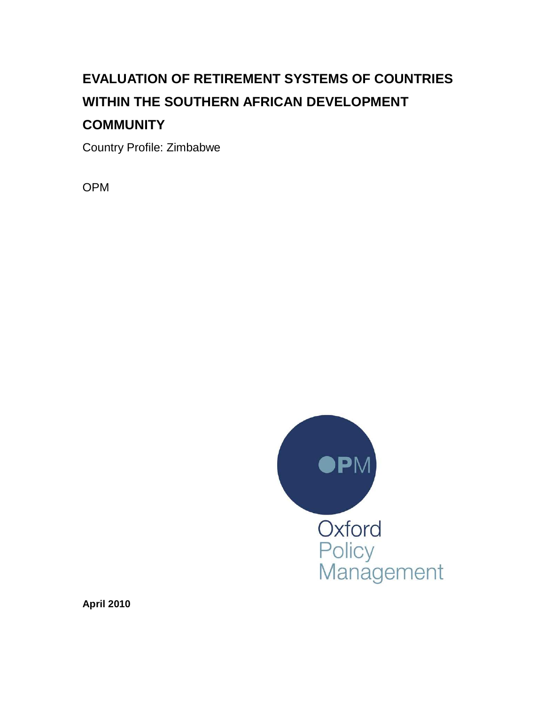# **EVALUATION OF RETIREMENT SYSTEMS OF COUNTRIES WITHIN THE SOUTHERN AFRICAN DEVELOPMENT COMMUNITY**

Country Profile: Zimbabwe

OPM



**April 2010**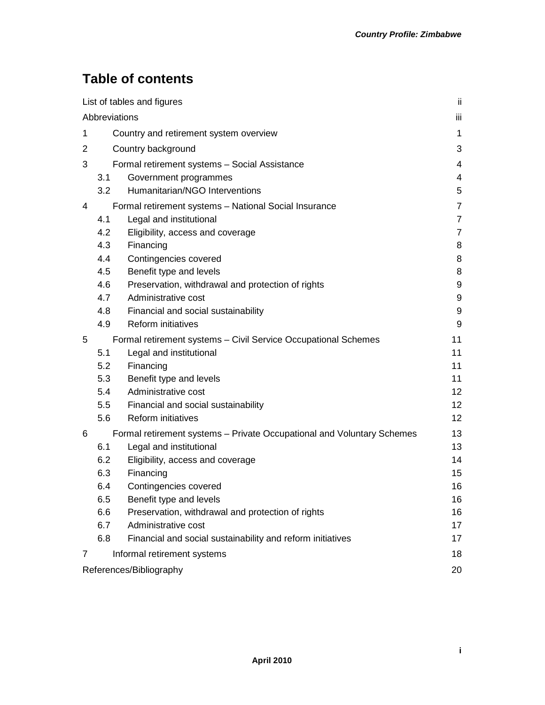# **Table of contents**

| List of tables and figures |                                                                        |                                                                | jj. |
|----------------------------|------------------------------------------------------------------------|----------------------------------------------------------------|-----|
| Abbreviations              |                                                                        |                                                                | iii |
| 1                          |                                                                        | Country and retirement system overview                         | 1   |
| 2                          |                                                                        | Country background                                             | 3   |
| 3                          |                                                                        | Formal retirement systems - Social Assistance                  | 4   |
|                            | 3.1                                                                    | Government programmes                                          | 4   |
|                            | 3.2                                                                    | Humanitarian/NGO Interventions                                 | 5   |
| 4                          |                                                                        | Formal retirement systems - National Social Insurance          | 7   |
|                            | 4.1                                                                    | Legal and institutional                                        | 7   |
|                            | 4.2                                                                    | Eligibility, access and coverage                               | 7   |
|                            | 4.3                                                                    | Financing                                                      | 8   |
|                            | 4.4                                                                    | Contingencies covered                                          | 8   |
|                            | 4.5                                                                    | Benefit type and levels                                        | 8   |
|                            | 4.6                                                                    | Preservation, withdrawal and protection of rights              | 9   |
|                            | 4.7                                                                    | Administrative cost                                            | 9   |
|                            | 4.8                                                                    | Financial and social sustainability                            | 9   |
|                            | 4.9                                                                    | <b>Reform initiatives</b>                                      | 9   |
| 5                          |                                                                        | Formal retirement systems - Civil Service Occupational Schemes | 11  |
|                            | 5.1                                                                    | Legal and institutional                                        | 11  |
|                            | 5.2                                                                    | Financing                                                      | 11  |
|                            | 5.3                                                                    | Benefit type and levels                                        | 11  |
|                            | 5.4                                                                    | Administrative cost                                            | 12  |
|                            | 5.5                                                                    | Financial and social sustainability                            | 12  |
|                            | 5.6                                                                    | Reform initiatives                                             | 12  |
| 6                          | Formal retirement systems - Private Occupational and Voluntary Schemes |                                                                | 13  |
|                            | 6.1                                                                    | Legal and institutional                                        | 13  |
|                            | 6.2                                                                    | Eligibility, access and coverage                               | 14  |
|                            | 6.3                                                                    | Financing                                                      | 15  |
|                            | 6.4                                                                    | Contingencies covered                                          | 16  |
|                            | 6.5                                                                    | Benefit type and levels                                        | 16  |
|                            | 6.6                                                                    | Preservation, withdrawal and protection of rights              | 16  |
|                            | 6.7                                                                    | Administrative cost                                            | 17  |
|                            | 6.8                                                                    | Financial and social sustainability and reform initiatives     | 17  |
| 7                          |                                                                        | Informal retirement systems                                    | 18  |
| References/Bibliography    |                                                                        |                                                                | 20  |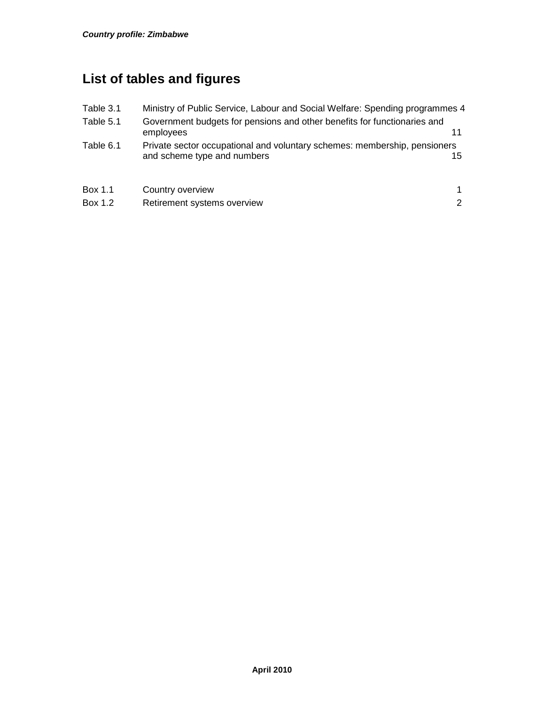# **List of tables and figures**

| Table 3.1 | Ministry of Public Service, Labour and Social Welfare: Spending programmes 4                             |     |
|-----------|----------------------------------------------------------------------------------------------------------|-----|
| Table 5.1 | Government budgets for pensions and other benefits for functionaries and<br>employees                    |     |
| Table 6.1 | Private sector occupational and voluntary schemes: membership, pensioners<br>and scheme type and numbers | 15. |
| Box 1.1   | Country overview                                                                                         | 1.  |
| Box 1.2   | Retirement systems overview                                                                              | 2   |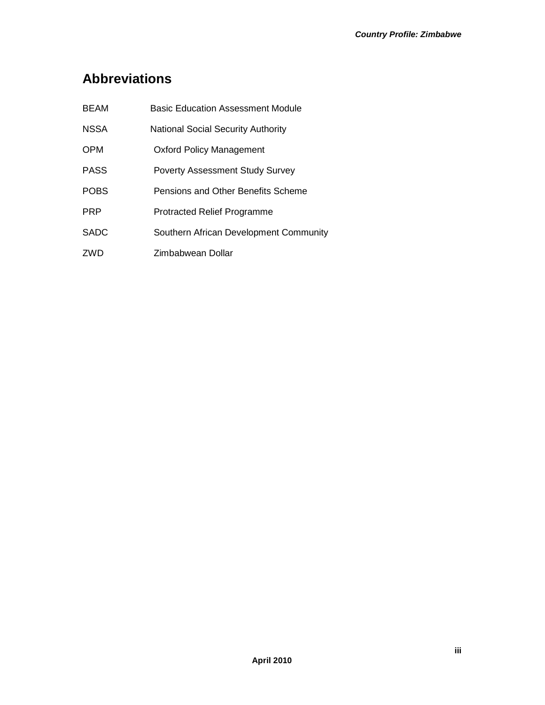# **Abbreviations**

| <b>BEAM</b> | <b>Basic Education Assessment Module</b>  |
|-------------|-------------------------------------------|
| <b>NSSA</b> | <b>National Social Security Authority</b> |
| <b>OPM</b>  | <b>Oxford Policy Management</b>           |
| <b>PASS</b> | <b>Poverty Assessment Study Survey</b>    |
| <b>POBS</b> | Pensions and Other Benefits Scheme        |
| <b>PRP</b>  | <b>Protracted Relief Programme</b>        |
| <b>SADC</b> | Southern African Development Community    |
| ZWD         | Zimbabwean Dollar                         |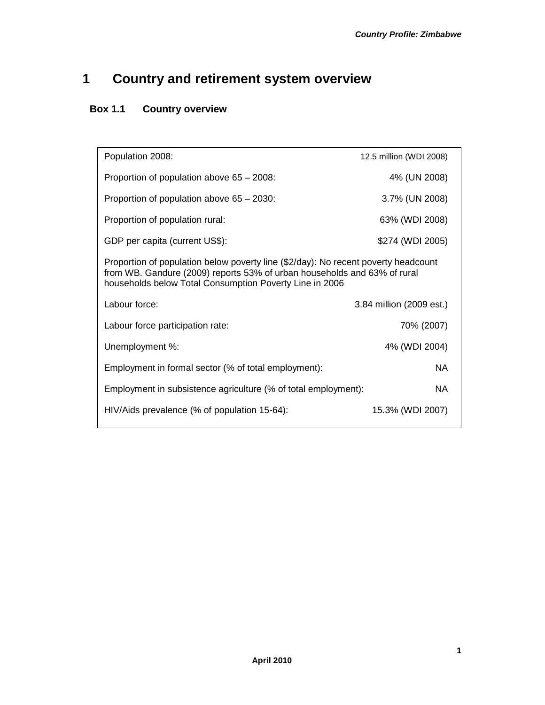# **1 Country and retirement system overview**

# **Box 1.1 Country overview**

| Population 2008:                                                                                                                                                                                                          | 12.5 million (WDI 2008) |  |  |
|---------------------------------------------------------------------------------------------------------------------------------------------------------------------------------------------------------------------------|-------------------------|--|--|
| Proportion of population above $65 - 2008$ :                                                                                                                                                                              | 4% (UN 2008)            |  |  |
| Proportion of population above 65 - 2030:                                                                                                                                                                                 | 3.7% (UN 2008)          |  |  |
| Proportion of population rural:                                                                                                                                                                                           | 63% (WDI 2008)          |  |  |
| GDP per capita (current US\$):                                                                                                                                                                                            | \$274 (WDI 2005)        |  |  |
| Proportion of population below poverty line (\$2/day): No recent poverty headcount<br>from WB. Gandure (2009) reports 53% of urban households and 63% of rural<br>households below Total Consumption Poverty Line in 2006 |                         |  |  |
| Labour force:<br>3.84 million (2009 est.)                                                                                                                                                                                 |                         |  |  |
| Labour force participation rate:                                                                                                                                                                                          | 70% (2007)              |  |  |
| Unemployment %:                                                                                                                                                                                                           | 4% (WDI 2004)           |  |  |
| Employment in formal sector (% of total employment):                                                                                                                                                                      | NA.                     |  |  |
| Employment in subsistence agriculture (% of total employment):                                                                                                                                                            | <b>NA</b>               |  |  |
| HIV/Aids prevalence (% of population 15-64):                                                                                                                                                                              | 15.3% (WDI 2007)        |  |  |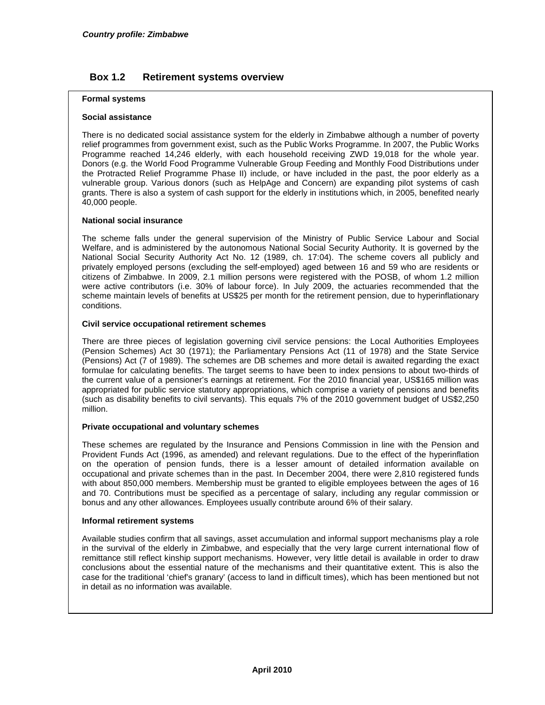#### **Box 1.2 Retirement systems overview**

#### **Formal systems**

#### **Social assistance**

There is no dedicated social assistance system for the elderly in Zimbabwe although a number of poverty relief programmes from government exist, such as the Public Works Programme. In 2007, the Public Works Programme reached 14,246 elderly, with each household receiving ZWD 19,018 for the whole year. Donors (e.g. the World Food Programme Vulnerable Group Feeding and Monthly Food Distributions under the Protracted Relief Programme Phase II) include, or have included in the past, the poor elderly as a vulnerable group. Various donors (such as HelpAge and Concern) are expanding pilot systems of cash grants. There is also a system of cash support for the elderly in institutions which, in 2005, benefited nearly 40,000 people.

#### **National social insurance**

The scheme falls under the general supervision of the Ministry of Public Service Labour and Social Welfare, and is administered by the autonomous National Social Security Authority. It is governed by the National Social Security Authority Act No. 12 (1989, ch. 17:04). The scheme covers all publicly and privately employed persons (excluding the self-employed) aged between 16 and 59 who are residents or citizens of Zimbabwe. In 2009, 2.1 million persons were registered with the POSB, of whom 1.2 million were active contributors (i.e. 30% of labour force). In July 2009, the actuaries recommended that the scheme maintain levels of benefits at US\$25 per month for the retirement pension, due to hyperinflationary conditions.

#### **Civil service occupational retirement schemes**

There are three pieces of legislation governing civil service pensions: the Local Authorities Employees (Pension Schemes) Act 30 (1971); the Parliamentary Pensions Act (11 of 1978) and the State Service (Pensions) Act (7 of 1989). The schemes are DB schemes and more detail is awaited regarding the exact formulae for calculating benefits. The target seems to have been to index pensions to about two-thirds of the current value of a pensioner's earnings at retirement. For the 2010 financial year, US\$165 million was appropriated for public service statutory appropriations, which comprise a variety of pensions and benefits (such as disability benefits to civil servants). This equals 7% of the 2010 government budget of US\$2,250 million.

#### **Private occupational and voluntary schemes**

These schemes are regulated by the Insurance and Pensions Commission in line with the Pension and Provident Funds Act (1996, as amended) and relevant regulations. Due to the effect of the hyperinflation on the operation of pension funds, there is a lesser amount of detailed information available on occupational and private schemes than in the past. In December 2004, there were 2,810 registered funds with about 850,000 members. Membership must be granted to eligible employees between the ages of 16 and 70. Contributions must be specified as a percentage of salary, including any regular commission or bonus and any other allowances. Employees usually contribute around 6% of their salary.

#### **Informal retirement systems**

Available studies confirm that all savings, asset accumulation and informal support mechanisms play a role in the survival of the elderly in Zimbabwe, and especially that the very large current international flow of remittance still reflect kinship support mechanisms. However, very little detail is available in order to draw conclusions about the essential nature of the mechanisms and their quantitative extent. This is also the case for the traditional 'chief's granary' (access to land in difficult times), which has been mentioned but not in detail as no information was available.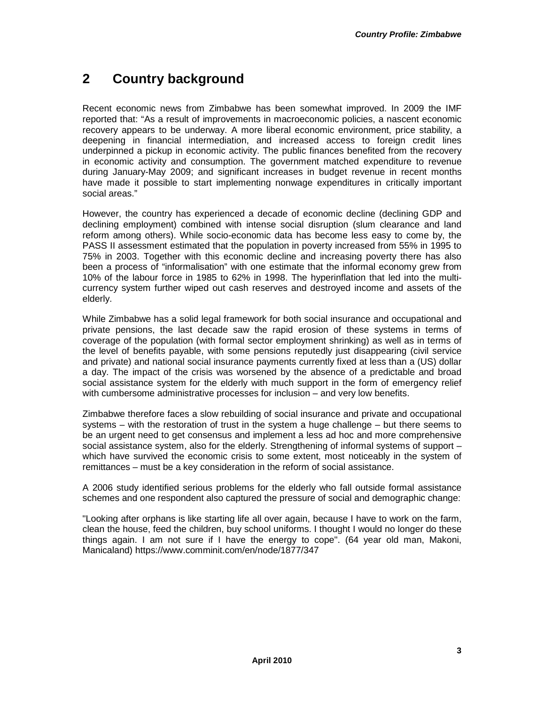# **2 Country background**

Recent economic news from Zimbabwe has been somewhat improved. In 2009 the IMF reported that: "As a result of improvements in macroeconomic policies, a nascent economic recovery appears to be underway. A more liberal economic environment, price stability, a deepening in financial intermediation, and increased access to foreign credit lines underpinned a pickup in economic activity. The public finances benefited from the recovery in economic activity and consumption. The government matched expenditure to revenue during January-May 2009; and significant increases in budget revenue in recent months have made it possible to start implementing nonwage expenditures in critically important social areas."

However, the country has experienced a decade of economic decline (declining GDP and declining employment) combined with intense social disruption (slum clearance and land reform among others). While socio-economic data has become less easy to come by, the PASS II assessment estimated that the population in poverty increased from 55% in 1995 to 75% in 2003. Together with this economic decline and increasing poverty there has also been a process of "informalisation" with one estimate that the informal economy grew from 10% of the labour force in 1985 to 62% in 1998. The hyperinflation that led into the multicurrency system further wiped out cash reserves and destroyed income and assets of the elderly.

While Zimbabwe has a solid legal framework for both social insurance and occupational and private pensions, the last decade saw the rapid erosion of these systems in terms of coverage of the population (with formal sector employment shrinking) as well as in terms of the level of benefits payable, with some pensions reputedly just disappearing (civil service and private) and national social insurance payments currently fixed at less than a (US) dollar a day. The impact of the crisis was worsened by the absence of a predictable and broad social assistance system for the elderly with much support in the form of emergency relief with cumbersome administrative processes for inclusion – and very low benefits.

Zimbabwe therefore faces a slow rebuilding of social insurance and private and occupational systems – with the restoration of trust in the system a huge challenge – but there seems to be an urgent need to get consensus and implement a less ad hoc and more comprehensive social assistance system, also for the elderly. Strengthening of informal systems of support – which have survived the economic crisis to some extent, most noticeably in the system of remittances – must be a key consideration in the reform of social assistance.

A 2006 study identified serious problems for the elderly who fall outside formal assistance schemes and one respondent also captured the pressure of social and demographic change:

"Looking after orphans is like starting life all over again, because I have to work on the farm, clean the house, feed the children, buy school uniforms. I thought I would no longer do these things again. I am not sure if I have the energy to cope". (64 year old man, Makoni, Manicaland) https://www.comminit.com/en/node/1877/347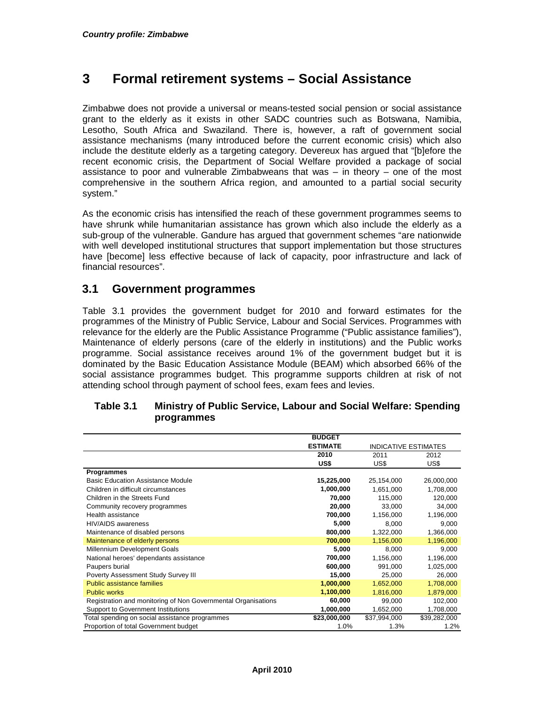# **3 Formal retirement systems – Social Assistance**

Zimbabwe does not provide a universal or means-tested social pension or social assistance grant to the elderly as it exists in other SADC countries such as Botswana, Namibia, Lesotho, South Africa and Swaziland. There is, however, a raft of government social assistance mechanisms (many introduced before the current economic crisis) which also include the destitute elderly as a targeting category. Devereux has argued that "[b]efore the recent economic crisis, the Department of Social Welfare provided a package of social assistance to poor and vulnerable Zimbabweans that was – in theory – one of the most comprehensive in the southern Africa region, and amounted to a partial social security system."

As the economic crisis has intensified the reach of these government programmes seems to have shrunk while humanitarian assistance has grown which also include the elderly as a sub-group of the vulnerable. Gandure has argued that government schemes "are nationwide with well developed institutional structures that support implementation but those structures have [become] less effective because of lack of capacity, poor infrastructure and lack of financial resources".

#### **3.1 Government programmes**

Table 3.1 provides the government budget for 2010 and forward estimates for the programmes of the Ministry of Public Service, Labour and Social Services. Programmes with relevance for the elderly are the Public Assistance Programme ("Public assistance families"), Maintenance of elderly persons (care of the elderly in institutions) and the Public works programme. Social assistance receives around 1% of the government budget but it is dominated by the Basic Education Assistance Module (BEAM) which absorbed 66% of the social assistance programmes budget. This programme supports children at risk of not attending school through payment of school fees, exam fees and levies.

|                                                               | <b>BUDGET</b>   |                             |              |
|---------------------------------------------------------------|-----------------|-----------------------------|--------------|
|                                                               | <b>ESTIMATE</b> | <b>INDICATIVE ESTIMATES</b> |              |
|                                                               | 2010            | 2011                        | 2012         |
|                                                               | US\$            | US\$                        | US\$         |
| <b>Programmes</b>                                             |                 |                             |              |
| <b>Basic Education Assistance Module</b>                      | 15,225,000      | 25,154,000                  | 26,000,000   |
| Children in difficult circumstances                           | 1,000,000       | 1,651,000                   | 1,708,000    |
| Children in the Streets Fund                                  | 70,000          | 115,000                     | 120,000      |
| Community recovery programmes                                 | 20,000          | 33,000                      | 34,000       |
| Health assistance                                             | 700,000         | 1,156,000                   | 1,196,000    |
| <b>HIV/AIDS</b> awareness                                     | 5,000           | 8,000                       | 9,000        |
| Maintenance of disabled persons                               | 800,000         | 1,322,000                   | 1,366,000    |
| Maintenance of elderly persons                                | 700,000         | 1,156,000                   | 1,196,000    |
| Millennium Development Goals                                  | 5,000           | 8.000                       | 9,000        |
| National heroes' dependants assistance                        | 700,000         | 1,156,000                   | 1,196,000    |
| Paupers burial                                                | 600,000         | 991,000                     | 1,025,000    |
| Poverty Assessment Study Survey III                           | 15,000          | 25,000                      | 26,000       |
| <b>Public assistance families</b>                             | 1,000,000       | 1,652,000                   | 1,708,000    |
| <b>Public works</b>                                           | 1,100,000       | 1,816,000                   | 1,879,000    |
| Registration and monitoring of Non Governmental Organisations | 60,000          | 99,000                      | 102,000      |
| <b>Support to Government Institutions</b>                     | 1,000,000       | 1,652,000                   | 1,708,000    |
| Total spending on social assistance programmes                | \$23,000,000    | \$37,994,000                | \$39,282,000 |
| Proportion of total Government budget                         | 1.0%            | 1.3%                        | 1.2%         |

#### **Table 3.1 Ministry of Public Service, Labour and Social Welfare: Spending programmes**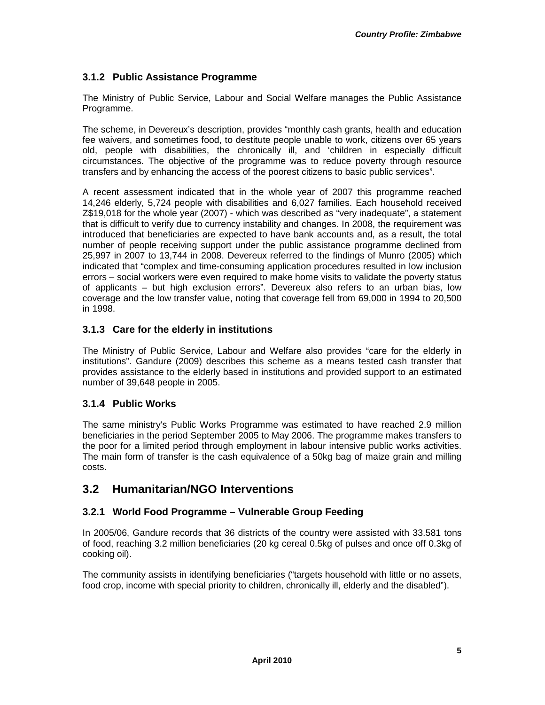#### **3.1.2 Public Assistance Programme**

The Ministry of Public Service, Labour and Social Welfare manages the Public Assistance Programme.

The scheme, in Devereux's description, provides "monthly cash grants, health and education fee waivers, and sometimes food, to destitute people unable to work, citizens over 65 years old, people with disabilities, the chronically ill, and 'children in especially difficult circumstances. The objective of the programme was to reduce poverty through resource transfers and by enhancing the access of the poorest citizens to basic public services".

A recent assessment indicated that in the whole year of 2007 this programme reached 14,246 elderly, 5,724 people with disabilities and 6,027 families. Each household received Z\$19,018 for the whole year (2007) - which was described as "very inadequate", a statement that is difficult to verify due to currency instability and changes. In 2008, the requirement was introduced that beneficiaries are expected to have bank accounts and, as a result, the total number of people receiving support under the public assistance programme declined from 25,997 in 2007 to 13,744 in 2008. Devereux referred to the findings of Munro (2005) which indicated that "complex and time-consuming application procedures resulted in low inclusion errors – social workers were even required to make home visits to validate the poverty status of applicants – but high exclusion errors". Devereux also refers to an urban bias, low coverage and the low transfer value, noting that coverage fell from 69,000 in 1994 to 20,500 in 1998.

#### **3.1.3 Care for the elderly in institutions**

The Ministry of Public Service, Labour and Welfare also provides "care for the elderly in institutions". Gandure (2009) describes this scheme as a means tested cash transfer that provides assistance to the elderly based in institutions and provided support to an estimated number of 39,648 people in 2005.

#### **3.1.4 Public Works**

The same ministry's Public Works Programme was estimated to have reached 2.9 million beneficiaries in the period September 2005 to May 2006. The programme makes transfers to the poor for a limited period through employment in labour intensive public works activities. The main form of transfer is the cash equivalence of a 50kg bag of maize grain and milling costs.

#### **3.2 Humanitarian/NGO Interventions**

#### **3.2.1 World Food Programme – Vulnerable Group Feeding**

In 2005/06, Gandure records that 36 districts of the country were assisted with 33.581 tons of food, reaching 3.2 million beneficiaries (20 kg cereal 0.5kg of pulses and once off 0.3kg of cooking oil).

The community assists in identifying beneficiaries ("targets household with little or no assets, food crop, income with special priority to children, chronically ill, elderly and the disabled").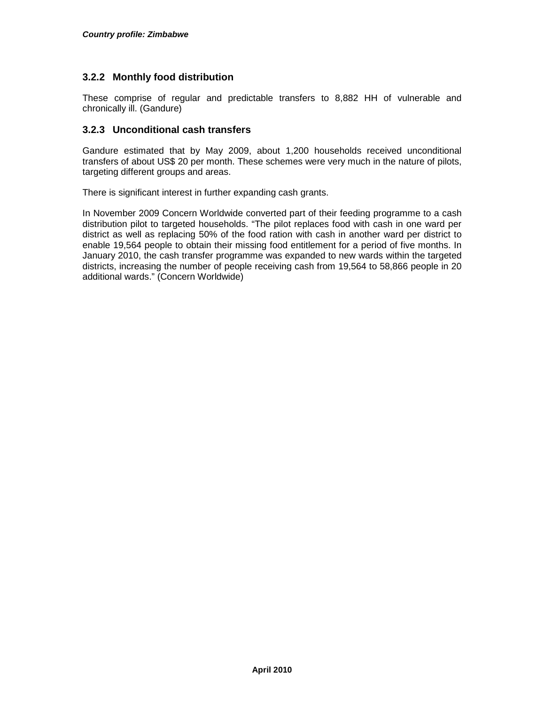#### **3.2.2 Monthly food distribution**

These comprise of regular and predictable transfers to 8,882 HH of vulnerable and chronically ill. (Gandure)

#### **3.2.3 Unconditional cash transfers**

Gandure estimated that by May 2009, about 1,200 households received unconditional transfers of about US\$ 20 per month. These schemes were very much in the nature of pilots, targeting different groups and areas.

There is significant interest in further expanding cash grants.

In November 2009 Concern Worldwide converted part of their feeding programme to a cash distribution pilot to targeted households. "The pilot replaces food with cash in one ward per district as well as replacing 50% of the food ration with cash in another ward per district to enable 19,564 people to obtain their missing food entitlement for a period of five months. In January 2010, the cash transfer programme was expanded to new wards within the targeted districts, increasing the number of people receiving cash from 19,564 to 58,866 people in 20 additional wards." (Concern Worldwide)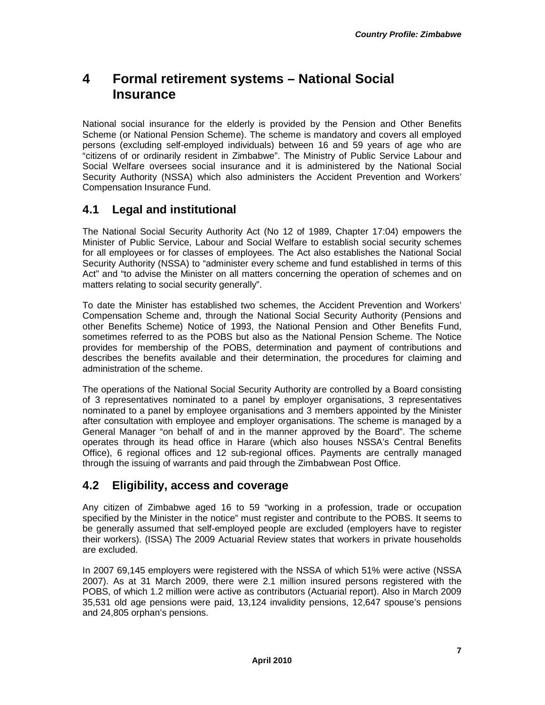# **4 Formal retirement systems – National Social Insurance**

National social insurance for the elderly is provided by the Pension and Other Benefits Scheme (or National Pension Scheme). The scheme is mandatory and covers all employed persons (excluding self-employed individuals) between 16 and 59 years of age who are "citizens of or ordinarily resident in Zimbabwe". The Ministry of Public Service Labour and Social Welfare oversees social insurance and it is administered by the National Social Security Authority (NSSA) which also administers the Accident Prevention and Workers' Compensation Insurance Fund.

## **4.1 Legal and institutional**

The National Social Security Authority Act (No 12 of 1989, Chapter 17:04) empowers the Minister of Public Service, Labour and Social Welfare to establish social security schemes for all employees or for classes of employees. The Act also establishes the National Social Security Authority (NSSA) to "administer every scheme and fund established in terms of this Act" and "to advise the Minister on all matters concerning the operation of schemes and on matters relating to social security generally".

To date the Minister has established two schemes, the Accident Prevention and Workers' Compensation Scheme and, through the National Social Security Authority (Pensions and other Benefits Scheme) Notice of 1993, the National Pension and Other Benefits Fund, sometimes referred to as the POBS but also as the National Pension Scheme. The Notice provides for membership of the POBS, determination and payment of contributions and describes the benefits available and their determination, the procedures for claiming and administration of the scheme.

The operations of the National Social Security Authority are controlled by a Board consisting of 3 representatives nominated to a panel by employer organisations, 3 representatives nominated to a panel by employee organisations and 3 members appointed by the Minister after consultation with employee and employer organisations. The scheme is managed by a General Manager "on behalf of and in the manner approved by the Board". The scheme operates through its head office in Harare (which also houses NSSA's Central Benefits Office), 6 regional offices and 12 sub-regional offices. Payments are centrally managed through the issuing of warrants and paid through the Zimbabwean Post Office.

## **4.2 Eligibility, access and coverage**

Any citizen of Zimbabwe aged 16 to 59 "working in a profession, trade or occupation specified by the Minister in the notice" must register and contribute to the POBS. It seems to be generally assumed that self-employed people are excluded (employers have to register their workers). (ISSA) The 2009 Actuarial Review states that workers in private households are excluded.

In 2007 69,145 employers were registered with the NSSA of which 51% were active (NSSA 2007). As at 31 March 2009, there were 2.1 million insured persons registered with the POBS, of which 1.2 million were active as contributors (Actuarial report). Also in March 2009 35,531 old age pensions were paid, 13,124 invalidity pensions, 12,647 spouse's pensions and 24,805 orphan's pensions.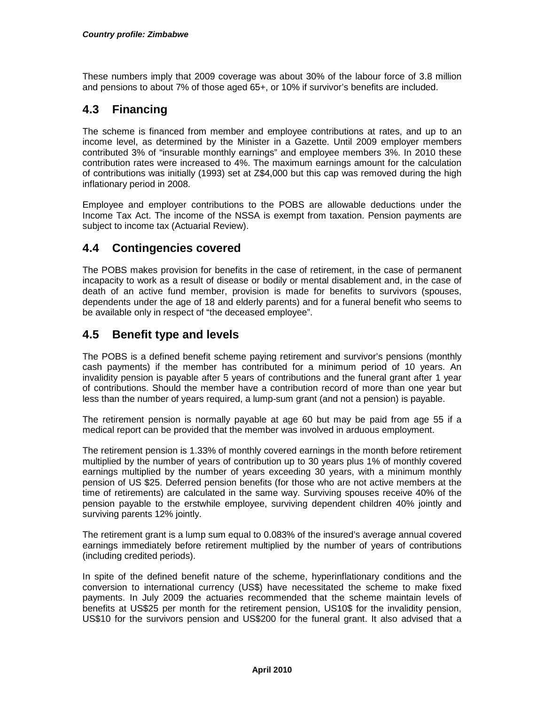These numbers imply that 2009 coverage was about 30% of the labour force of 3.8 million and pensions to about 7% of those aged 65+, or 10% if survivor's benefits are included.

# **4.3 Financing**

The scheme is financed from member and employee contributions at rates, and up to an income level, as determined by the Minister in a Gazette. Until 2009 employer members contributed 3% of "insurable monthly earnings" and employee members 3%. In 2010 these contribution rates were increased to 4%. The maximum earnings amount for the calculation of contributions was initially (1993) set at Z\$4,000 but this cap was removed during the high inflationary period in 2008.

Employee and employer contributions to the POBS are allowable deductions under the Income Tax Act. The income of the NSSA is exempt from taxation. Pension payments are subject to income tax (Actuarial Review).

### **4.4 Contingencies covered**

The POBS makes provision for benefits in the case of retirement, in the case of permanent incapacity to work as a result of disease or bodily or mental disablement and, in the case of death of an active fund member, provision is made for benefits to survivors (spouses, dependents under the age of 18 and elderly parents) and for a funeral benefit who seems to be available only in respect of "the deceased employee".

### **4.5 Benefit type and levels**

The POBS is a defined benefit scheme paying retirement and survivor's pensions (monthly cash payments) if the member has contributed for a minimum period of 10 years. An invalidity pension is payable after 5 years of contributions and the funeral grant after 1 year of contributions. Should the member have a contribution record of more than one year but less than the number of years required, a lump-sum grant (and not a pension) is payable.

The retirement pension is normally payable at age 60 but may be paid from age 55 if a medical report can be provided that the member was involved in arduous employment.

The retirement pension is 1.33% of monthly covered earnings in the month before retirement multiplied by the number of years of contribution up to 30 years plus 1% of monthly covered earnings multiplied by the number of years exceeding 30 years, with a minimum monthly pension of US \$25. Deferred pension benefits (for those who are not active members at the time of retirements) are calculated in the same way. Surviving spouses receive 40% of the pension payable to the erstwhile employee, surviving dependent children 40% jointly and surviving parents 12% jointly.

The retirement grant is a lump sum equal to 0.083% of the insured's average annual covered earnings immediately before retirement multiplied by the number of years of contributions (including credited periods).

In spite of the defined benefit nature of the scheme, hyperinflationary conditions and the conversion to international currency (US\$) have necessitated the scheme to make fixed payments. In July 2009 the actuaries recommended that the scheme maintain levels of benefits at US\$25 per month for the retirement pension, US10\$ for the invalidity pension, US\$10 for the survivors pension and US\$200 for the funeral grant. It also advised that a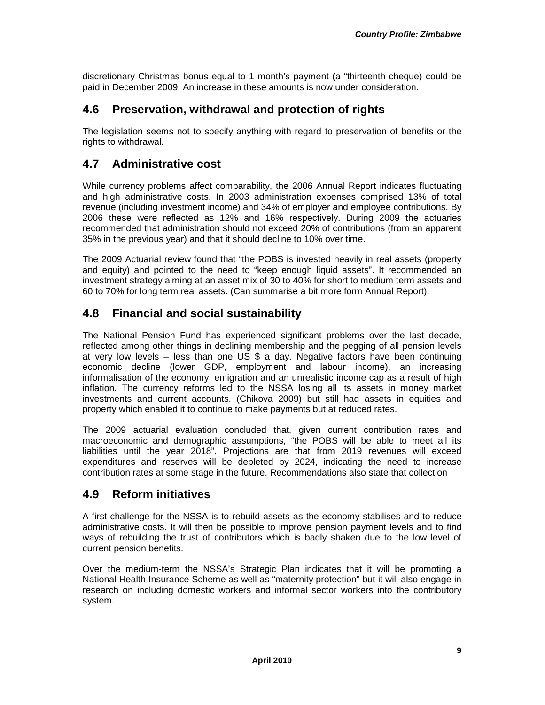discretionary Christmas bonus equal to 1 month's payment (a "thirteenth cheque) could be paid in December 2009. An increase in these amounts is now under consideration.

### **4.6 Preservation, withdrawal and protection of rights**

The legislation seems not to specify anything with regard to preservation of benefits or the rights to withdrawal.

#### **4.7 Administrative cost**

While currency problems affect comparability, the 2006 Annual Report indicates fluctuating and high administrative costs. In 2003 administration expenses comprised 13% of total revenue (including investment income) and 34% of employer and employee contributions. By 2006 these were reflected as 12% and 16% respectively. During 2009 the actuaries recommended that administration should not exceed 20% of contributions (from an apparent 35% in the previous year) and that it should decline to 10% over time.

The 2009 Actuarial review found that "the POBS is invested heavily in real assets (property and equity) and pointed to the need to "keep enough liquid assets". It recommended an investment strategy aiming at an asset mix of 30 to 40% for short to medium term assets and 60 to 70% for long term real assets. (Can summarise a bit more form Annual Report).

#### **4.8 Financial and social sustainability**

The National Pension Fund has experienced significant problems over the last decade, reflected among other things in declining membership and the pegging of all pension levels at very low levels – less than one US  $$$  a day. Negative factors have been continuing economic decline (lower GDP, employment and labour income), an increasing informalisation of the economy, emigration and an unrealistic income cap as a result of high inflation. The currency reforms led to the NSSA losing all its assets in money market investments and current accounts. (Chikova 2009) but still had assets in equities and property which enabled it to continue to make payments but at reduced rates.

The 2009 actuarial evaluation concluded that, given current contribution rates and macroeconomic and demographic assumptions, "the POBS will be able to meet all its liabilities until the year 2018". Projections are that from 2019 revenues will exceed expenditures and reserves will be depleted by 2024, indicating the need to increase contribution rates at some stage in the future. Recommendations also state that collection

#### **4.9 Reform initiatives**

A first challenge for the NSSA is to rebuild assets as the economy stabilises and to reduce administrative costs. It will then be possible to improve pension payment levels and to find ways of rebuilding the trust of contributors which is badly shaken due to the low level of current pension benefits.

Over the medium-term the NSSA's Strategic Plan indicates that it will be promoting a National Health Insurance Scheme as well as "maternity protection" but it will also engage in research on including domestic workers and informal sector workers into the contributory system.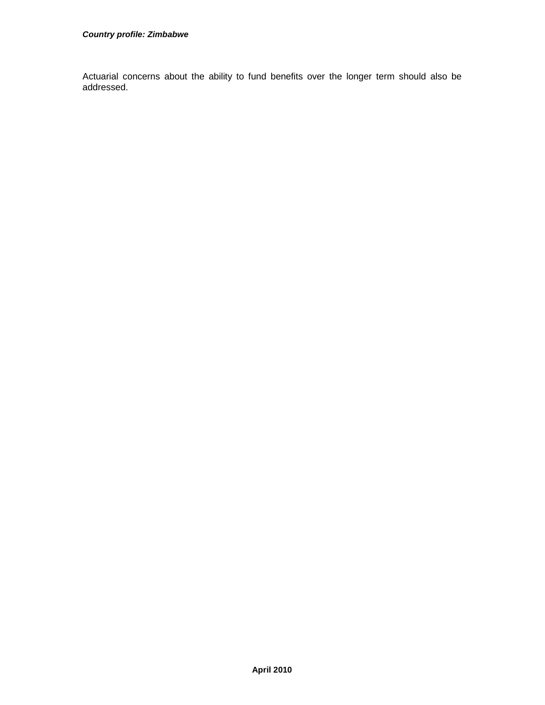Actuarial concerns about the ability to fund benefits over the longer term should also be addressed.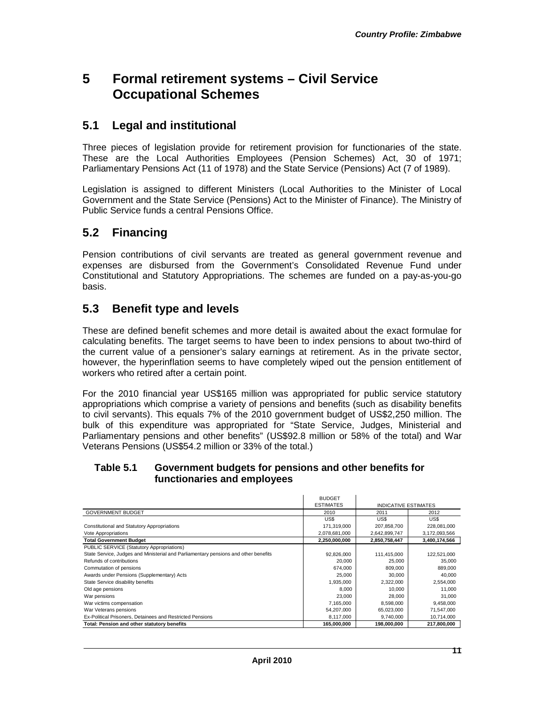# **5 Formal retirement systems – Civil Service Occupational Schemes**

#### **5.1 Legal and institutional**

Three pieces of legislation provide for retirement provision for functionaries of the state. These are the Local Authorities Employees (Pension Schemes) Act, 30 of 1971; Parliamentary Pensions Act (11 of 1978) and the State Service (Pensions) Act (7 of 1989).

Legislation is assigned to different Ministers (Local Authorities to the Minister of Local Government and the State Service (Pensions) Act to the Minister of Finance). The Ministry of Public Service funds a central Pensions Office.

### **5.2 Financing**

Pension contributions of civil servants are treated as general government revenue and expenses are disbursed from the Government's Consolidated Revenue Fund under Constitutional and Statutory Appropriations. The schemes are funded on a pay-as-you-go basis.

### **5.3 Benefit type and levels**

These are defined benefit schemes and more detail is awaited about the exact formulae for calculating benefits. The target seems to have been to index pensions to about two-third of the current value of a pensioner's salary earnings at retirement. As in the private sector, however, the hyperinflation seems to have completely wiped out the pension entitlement of workers who retired after a certain point.

For the 2010 financial year US\$165 million was appropriated for public service statutory appropriations which comprise a variety of pensions and benefits (such as disability benefits to civil servants). This equals 7% of the 2010 government budget of US\$2,250 million. The bulk of this expenditure was appropriated for "State Service, Judges, Ministerial and Parliamentary pensions and other benefits" (US\$92.8 million or 58% of the total) and War Veterans Pensions (US\$54.2 million or 33% of the total.)

#### **Table 5.1 Government budgets for pensions and other benefits for functionaries and employees**

|                                                                                     | <b>BUDGET</b>    |                             |               |
|-------------------------------------------------------------------------------------|------------------|-----------------------------|---------------|
|                                                                                     | <b>ESTIMATES</b> | <b>INDICATIVE ESTIMATES</b> |               |
| <b>GOVERNMENT BUDGET</b>                                                            | 2010             | 2011                        | 2012          |
|                                                                                     | US\$             | US\$                        | US\$          |
| Constitutional and Statutory Appropriations                                         | 171,319,000      | 207,858,700                 | 228,081,000   |
| Vote Appropriations                                                                 | 2,078,681,000    | 2,642,899,747               | 3,172,093,566 |
| <b>Total Government Budget</b>                                                      | 2,250,000,000    | 2,850,758,447               | 3,400,174,566 |
| PUBLIC SERVICE (Statutory Appropriations)                                           |                  |                             |               |
| State Service, Judges and Ministerial and Parliamentary pensions and other benefits | 92,826,000       | 111,415,000                 | 122,521,000   |
| Refunds of contributions                                                            | 20,000           | 25,000                      | 35,000        |
| Commutation of pensions                                                             | 674,000          | 809,000                     | 889,000       |
| Awards under Pensions (Supplementary) Acts                                          | 25,000           | 30,000                      | 40,000        |
| State Service disability benefits                                                   | 1,935,000        | 2,322,000                   | 2.554.000     |
| Old age pensions                                                                    | 8.000            | 10.000                      | 11.000        |
| War pensions                                                                        | 23,000           | 28,000                      | 31.000        |
| War victims compensation                                                            | 7,165,000        | 8,598,000                   | 9,458,000     |
| War Veterans pensions                                                               | 54,207,000       | 65,023,000                  | 71.547.000    |
| Ex-Political Prisoners, Detainees and Restricted Pensions                           | 8,117,000        | 9,740,000                   | 10,714,000    |
| Total: Pension and other statutory benefits                                         | 165,000,000      | 198,000,000                 | 217,800,000   |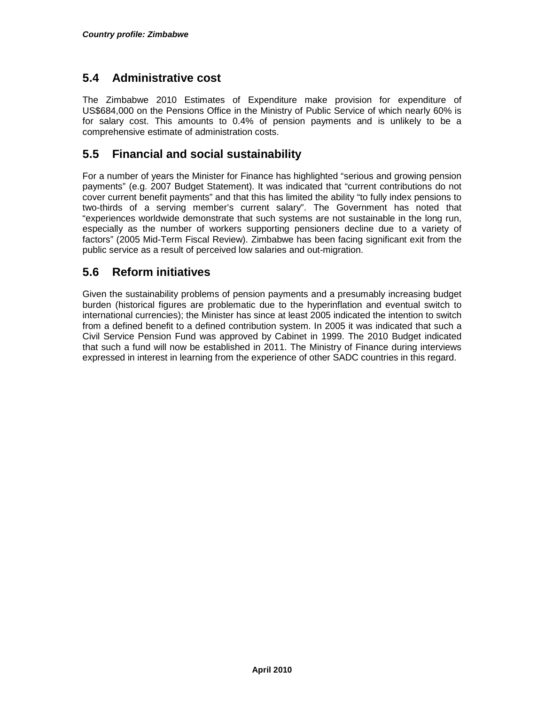#### **5.4 Administrative cost**

The Zimbabwe 2010 Estimates of Expenditure make provision for expenditure of US\$684,000 on the Pensions Office in the Ministry of Public Service of which nearly 60% is for salary cost. This amounts to 0.4% of pension payments and is unlikely to be a comprehensive estimate of administration costs.

## **5.5 Financial and social sustainability**

For a number of years the Minister for Finance has highlighted "serious and growing pension payments" (e.g. 2007 Budget Statement). It was indicated that "current contributions do not cover current benefit payments" and that this has limited the ability "to fully index pensions to two-thirds of a serving member's current salary". The Government has noted that "experiences worldwide demonstrate that such systems are not sustainable in the long run, especially as the number of workers supporting pensioners decline due to a variety of factors" (2005 Mid-Term Fiscal Review). Zimbabwe has been facing significant exit from the public service as a result of perceived low salaries and out-migration.

## **5.6 Reform initiatives**

Given the sustainability problems of pension payments and a presumably increasing budget burden (historical figures are problematic due to the hyperinflation and eventual switch to international currencies); the Minister has since at least 2005 indicated the intention to switch from a defined benefit to a defined contribution system. In 2005 it was indicated that such a Civil Service Pension Fund was approved by Cabinet in 1999. The 2010 Budget indicated that such a fund will now be established in 2011. The Ministry of Finance during interviews expressed in interest in learning from the experience of other SADC countries in this regard.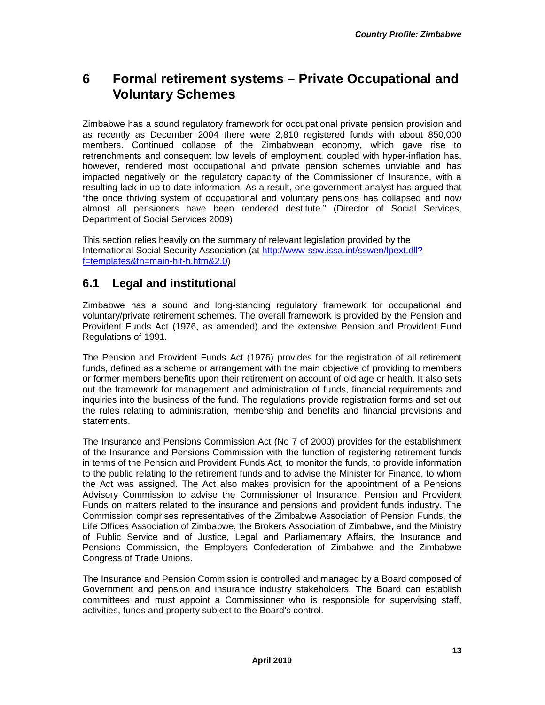# **6 Formal retirement systems – Private Occupational and Voluntary Schemes**

Zimbabwe has a sound regulatory framework for occupational private pension provision and as recently as December 2004 there were 2,810 registered funds with about 850,000 members. Continued collapse of the Zimbabwean economy, which gave rise to retrenchments and consequent low levels of employment, coupled with hyper-inflation has, however, rendered most occupational and private pension schemes unviable and has impacted negatively on the regulatory capacity of the Commissioner of Insurance, with a resulting lack in up to date information. As a result, one government analyst has argued that "the once thriving system of occupational and voluntary pensions has collapsed and now almost all pensioners have been rendered destitute." (Director of Social Services, Department of Social Services 2009)

This section relies heavily on the summary of relevant legislation provided by the International Social Security Association (at http://www-ssw.issa.int/sswen/lpext.dll? f=templates&fn=main-hit-h.htm&2.0)

### **6.1 Legal and institutional**

Zimbabwe has a sound and long-standing regulatory framework for occupational and voluntary/private retirement schemes. The overall framework is provided by the Pension and Provident Funds Act (1976, as amended) and the extensive Pension and Provident Fund Regulations of 1991.

The Pension and Provident Funds Act (1976) provides for the registration of all retirement funds, defined as a scheme or arrangement with the main objective of providing to members or former members benefits upon their retirement on account of old age or health. It also sets out the framework for management and administration of funds, financial requirements and inquiries into the business of the fund. The regulations provide registration forms and set out the rules relating to administration, membership and benefits and financial provisions and statements.

The Insurance and Pensions Commission Act (No 7 of 2000) provides for the establishment of the Insurance and Pensions Commission with the function of registering retirement funds in terms of the Pension and Provident Funds Act, to monitor the funds, to provide information to the public relating to the retirement funds and to advise the Minister for Finance, to whom the Act was assigned. The Act also makes provision for the appointment of a Pensions Advisory Commission to advise the Commissioner of Insurance, Pension and Provident Funds on matters related to the insurance and pensions and provident funds industry. The Commission comprises representatives of the Zimbabwe Association of Pension Funds, the Life Offices Association of Zimbabwe, the Brokers Association of Zimbabwe, and the Ministry of Public Service and of Justice, Legal and Parliamentary Affairs, the Insurance and Pensions Commission, the Employers Confederation of Zimbabwe and the Zimbabwe Congress of Trade Unions.

The Insurance and Pension Commission is controlled and managed by a Board composed of Government and pension and insurance industry stakeholders. The Board can establish committees and must appoint a Commissioner who is responsible for supervising staff, activities, funds and property subject to the Board's control.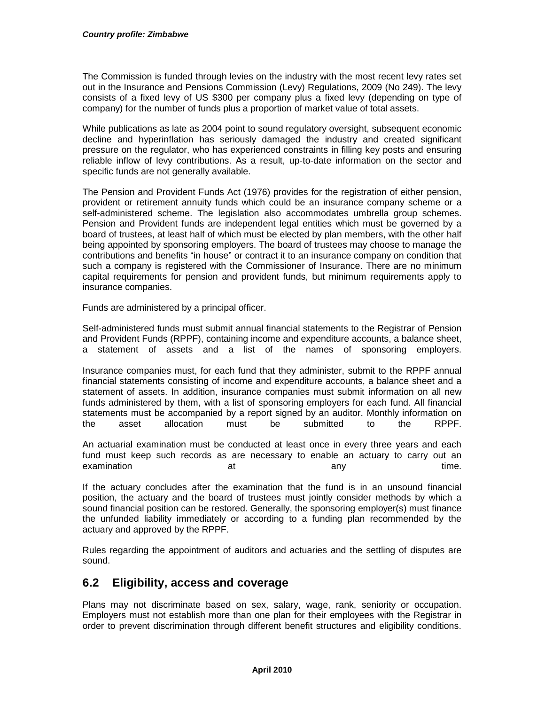The Commission is funded through levies on the industry with the most recent levy rates set out in the Insurance and Pensions Commission (Levy) Regulations, 2009 (No 249). The levy consists of a fixed levy of US \$300 per company plus a fixed levy (depending on type of company) for the number of funds plus a proportion of market value of total assets.

While publications as late as 2004 point to sound regulatory oversight, subsequent economic decline and hyperinflation has seriously damaged the industry and created significant pressure on the regulator, who has experienced constraints in filling key posts and ensuring reliable inflow of levy contributions. As a result, up-to-date information on the sector and specific funds are not generally available.

The Pension and Provident Funds Act (1976) provides for the registration of either pension, provident or retirement annuity funds which could be an insurance company scheme or a self-administered scheme. The legislation also accommodates umbrella group schemes. Pension and Provident funds are independent legal entities which must be governed by a board of trustees, at least half of which must be elected by plan members, with the other half being appointed by sponsoring employers. The board of trustees may choose to manage the contributions and benefits "in house" or contract it to an insurance company on condition that such a company is registered with the Commissioner of Insurance. There are no minimum capital requirements for pension and provident funds, but minimum requirements apply to insurance companies.

Funds are administered by a principal officer.

Self-administered funds must submit annual financial statements to the Registrar of Pension and Provident Funds (RPPF), containing income and expenditure accounts, a balance sheet, a statement of assets and a list of the names of sponsoring employers.

Insurance companies must, for each fund that they administer, submit to the RPPF annual financial statements consisting of income and expenditure accounts, a balance sheet and a statement of assets. In addition, insurance companies must submit information on all new funds administered by them, with a list of sponsoring employers for each fund. All financial statements must be accompanied by a report signed by an auditor. Monthly information on the asset allocation must be submitted to the RPPF.

An actuarial examination must be conducted at least once in every three years and each fund must keep such records as are necessary to enable an actuary to carry out an examination at any any time.

If the actuary concludes after the examination that the fund is in an unsound financial position, the actuary and the board of trustees must jointly consider methods by which a sound financial position can be restored. Generally, the sponsoring employer(s) must finance the unfunded liability immediately or according to a funding plan recommended by the actuary and approved by the RPPF.

Rules regarding the appointment of auditors and actuaries and the settling of disputes are sound.

#### **6.2 Eligibility, access and coverage**

Plans may not discriminate based on sex, salary, wage, rank, seniority or occupation. Employers must not establish more than one plan for their employees with the Registrar in order to prevent discrimination through different benefit structures and eligibility conditions.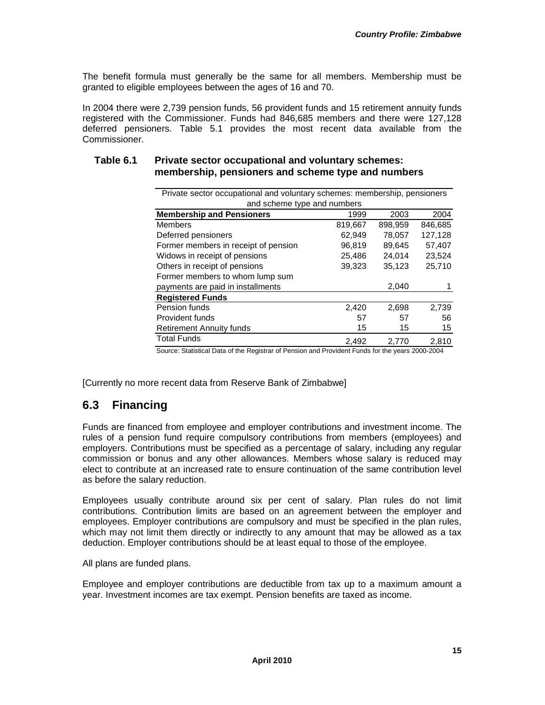The benefit formula must generally be the same for all members. Membership must be granted to eligible employees between the ages of 16 and 70.

In 2004 there were 2,739 pension funds, 56 provident funds and 15 retirement annuity funds registered with the Commissioner. Funds had 846,685 members and there were 127,128 deferred pensioners. Table 5.1 provides the most recent data available from the Commissioner.

| Private sector occupational and voluntary schemes: membership, pensioners |         |         |         |
|---------------------------------------------------------------------------|---------|---------|---------|
| and scheme type and numbers                                               |         |         |         |
| <b>Membership and Pensioners</b>                                          | 1999    | 2003    | 2004    |
| <b>Members</b>                                                            | 819,667 | 898,959 | 846,685 |
| Deferred pensioners                                                       | 62,949  | 78.057  | 127,128 |
| Former members in receipt of pension                                      | 96,819  | 89.645  | 57,407  |
| Widows in receipt of pensions                                             | 25,486  | 24,014  | 23,524  |
| Others in receipt of pensions                                             | 39,323  | 35,123  | 25,710  |
| Former members to whom lump sum                                           |         |         |         |
| payments are paid in installments                                         |         | 2,040   |         |
| <b>Registered Funds</b>                                                   |         |         |         |
| Pension funds                                                             | 2,420   | 2,698   | 2,739   |
| Provident funds                                                           | 57      | 57      | 56      |
| <b>Retirement Annuity funds</b>                                           | 15      | 15      | 15      |
| <b>Total Funds</b>                                                        | 2.492   | 2.770   | 2.810   |

#### **Table 6.1 Private sector occupational and voluntary schemes: membership, pensioners and scheme type and numbers**

Source: Statistical Data of the Registrar of Pension and Provident Funds for the years 2000-2004

[Currently no more recent data from Reserve Bank of Zimbabwe]

## **6.3 Financing**

Funds are financed from employee and employer contributions and investment income. The rules of a pension fund require compulsory contributions from members (employees) and employers. Contributions must be specified as a percentage of salary, including any regular commission or bonus and any other allowances. Members whose salary is reduced may elect to contribute at an increased rate to ensure continuation of the same contribution level as before the salary reduction.

Employees usually contribute around six per cent of salary. Plan rules do not limit contributions. Contribution limits are based on an agreement between the employer and employees. Employer contributions are compulsory and must be specified in the plan rules, which may not limit them directly or indirectly to any amount that may be allowed as a tax deduction. Employer contributions should be at least equal to those of the employee.

All plans are funded plans.

Employee and employer contributions are deductible from tax up to a maximum amount a year. Investment incomes are tax exempt. Pension benefits are taxed as income.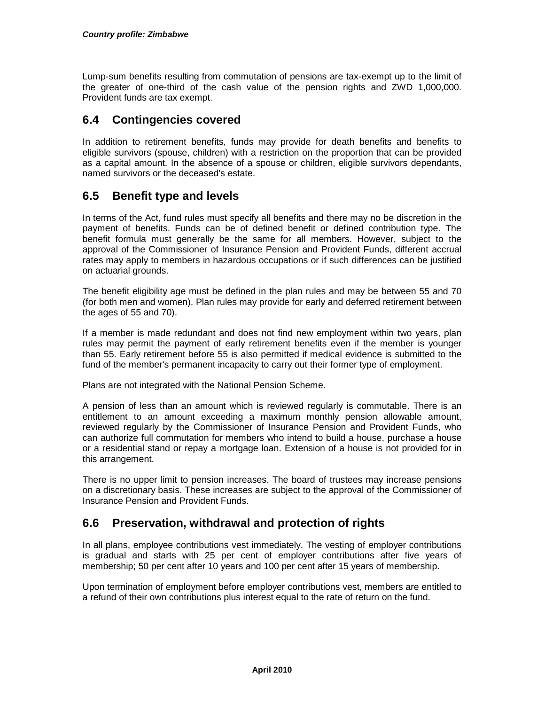Lump-sum benefits resulting from commutation of pensions are tax-exempt up to the limit of the greater of one-third of the cash value of the pension rights and ZWD 1,000,000. Provident funds are tax exempt.

#### **6.4 Contingencies covered**

In addition to retirement benefits, funds may provide for death benefits and benefits to eligible survivors (spouse, children) with a restriction on the proportion that can be provided as a capital amount. In the absence of a spouse or children, eligible survivors dependants, named survivors or the deceased's estate.

#### **6.5 Benefit type and levels**

In terms of the Act, fund rules must specify all benefits and there may no be discretion in the payment of benefits. Funds can be of defined benefit or defined contribution type. The benefit formula must generally be the same for all members. However, subject to the approval of the Commissioner of Insurance Pension and Provident Funds, different accrual rates may apply to members in hazardous occupations or if such differences can be justified on actuarial grounds.

The benefit eligibility age must be defined in the plan rules and may be between 55 and 70 (for both men and women). Plan rules may provide for early and deferred retirement between the ages of 55 and 70).

If a member is made redundant and does not find new employment within two years, plan rules may permit the payment of early retirement benefits even if the member is younger than 55. Early retirement before 55 is also permitted if medical evidence is submitted to the fund of the member's permanent incapacity to carry out their former type of employment.

Plans are not integrated with the National Pension Scheme.

A pension of less than an amount which is reviewed regularly is commutable. There is an entitlement to an amount exceeding a maximum monthly pension allowable amount, reviewed regularly by the Commissioner of Insurance Pension and Provident Funds, who can authorize full commutation for members who intend to build a house, purchase a house or a residential stand or repay a mortgage loan. Extension of a house is not provided for in this arrangement.

There is no upper limit to pension increases. The board of trustees may increase pensions on a discretionary basis. These increases are subject to the approval of the Commissioner of Insurance Pension and Provident Funds.

#### **6.6 Preservation, withdrawal and protection of rights**

In all plans, employee contributions vest immediately. The vesting of employer contributions is gradual and starts with 25 per cent of employer contributions after five years of membership; 50 per cent after 10 years and 100 per cent after 15 years of membership.

Upon termination of employment before employer contributions vest, members are entitled to a refund of their own contributions plus interest equal to the rate of return on the fund.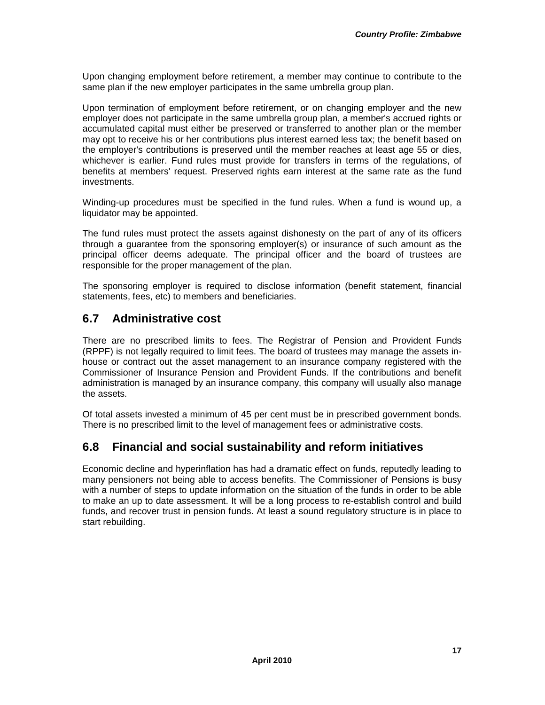Upon changing employment before retirement, a member may continue to contribute to the same plan if the new employer participates in the same umbrella group plan.

Upon termination of employment before retirement, or on changing employer and the new employer does not participate in the same umbrella group plan, a member's accrued rights or accumulated capital must either be preserved or transferred to another plan or the member may opt to receive his or her contributions plus interest earned less tax; the benefit based on the employer's contributions is preserved until the member reaches at least age 55 or dies, whichever is earlier. Fund rules must provide for transfers in terms of the regulations, of benefits at members' request. Preserved rights earn interest at the same rate as the fund investments.

Winding-up procedures must be specified in the fund rules. When a fund is wound up, a liquidator may be appointed.

The fund rules must protect the assets against dishonesty on the part of any of its officers through a guarantee from the sponsoring employer(s) or insurance of such amount as the principal officer deems adequate. The principal officer and the board of trustees are responsible for the proper management of the plan.

The sponsoring employer is required to disclose information (benefit statement, financial statements, fees, etc) to members and beneficiaries.

#### **6.7 Administrative cost**

There are no prescribed limits to fees. The Registrar of Pension and Provident Funds (RPPF) is not legally required to limit fees. The board of trustees may manage the assets inhouse or contract out the asset management to an insurance company registered with the Commissioner of Insurance Pension and Provident Funds. If the contributions and benefit administration is managed by an insurance company, this company will usually also manage the assets.

Of total assets invested a minimum of 45 per cent must be in prescribed government bonds. There is no prescribed limit to the level of management fees or administrative costs.

## **6.8 Financial and social sustainability and reform initiatives**

Economic decline and hyperinflation has had a dramatic effect on funds, reputedly leading to many pensioners not being able to access benefits. The Commissioner of Pensions is busy with a number of steps to update information on the situation of the funds in order to be able to make an up to date assessment. It will be a long process to re-establish control and build funds, and recover trust in pension funds. At least a sound regulatory structure is in place to start rebuilding.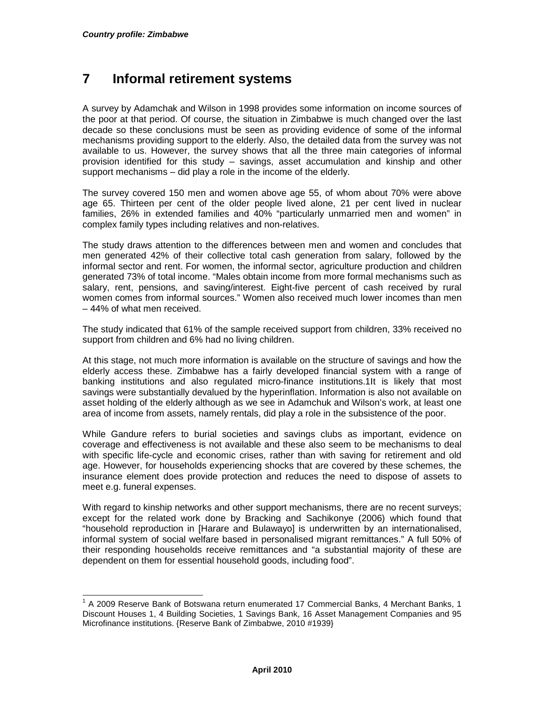l

# **7 Informal retirement systems**

A survey by Adamchak and Wilson in 1998 provides some information on income sources of the poor at that period. Of course, the situation in Zimbabwe is much changed over the last decade so these conclusions must be seen as providing evidence of some of the informal mechanisms providing support to the elderly. Also, the detailed data from the survey was not available to us. However, the survey shows that all the three main categories of informal provision identified for this study – savings, asset accumulation and kinship and other support mechanisms – did play a role in the income of the elderly.

The survey covered 150 men and women above age 55, of whom about 70% were above age 65. Thirteen per cent of the older people lived alone, 21 per cent lived in nuclear families, 26% in extended families and 40% "particularly unmarried men and women" in complex family types including relatives and non-relatives.

The study draws attention to the differences between men and women and concludes that men generated 42% of their collective total cash generation from salary, followed by the informal sector and rent. For women, the informal sector, agriculture production and children generated 73% of total income. "Males obtain income from more formal mechanisms such as salary, rent, pensions, and saving/interest. Eight-five percent of cash received by rural women comes from informal sources." Women also received much lower incomes than men – 44% of what men received.

The study indicated that 61% of the sample received support from children, 33% received no support from children and 6% had no living children.

At this stage, not much more information is available on the structure of savings and how the elderly access these. Zimbabwe has a fairly developed financial system with a range of banking institutions and also regulated micro-finance institutions.1It is likely that most savings were substantially devalued by the hyperinflation. Information is also not available on asset holding of the elderly although as we see in Adamchuk and Wilson's work, at least one area of income from assets, namely rentals, did play a role in the subsistence of the poor.

While Gandure refers to burial societies and savings clubs as important, evidence on coverage and effectiveness is not available and these also seem to be mechanisms to deal with specific life-cycle and economic crises, rather than with saving for retirement and old age. However, for households experiencing shocks that are covered by these schemes, the insurance element does provide protection and reduces the need to dispose of assets to meet e.g. funeral expenses.

With regard to kinship networks and other support mechanisms, there are no recent surveys; except for the related work done by Bracking and Sachikonye (2006) which found that "household reproduction in [Harare and Bulawayo] is underwritten by an internationalised, informal system of social welfare based in personalised migrant remittances." A full 50% of their responding households receive remittances and "a substantial majority of these are dependent on them for essential household goods, including food".

 $1$  A 2009 Reserve Bank of Botswana return enumerated 17 Commercial Banks, 4 Merchant Banks, 1 Discount Houses 1, 4 Building Societies, 1 Savings Bank, 16 Asset Management Companies and 95 Microfinance institutions. {Reserve Bank of Zimbabwe, 2010 #1939}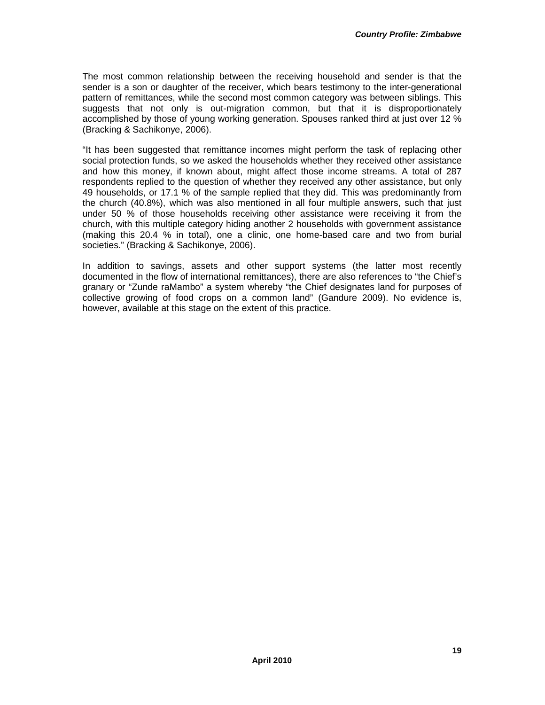The most common relationship between the receiving household and sender is that the sender is a son or daughter of the receiver, which bears testimony to the inter-generational pattern of remittances, while the second most common category was between siblings. This suggests that not only is out-migration common, but that it is disproportionately accomplished by those of young working generation. Spouses ranked third at just over 12 % (Bracking & Sachikonye, 2006).

"It has been suggested that remittance incomes might perform the task of replacing other social protection funds, so we asked the households whether they received other assistance and how this money, if known about, might affect those income streams. A total of 287 respondents replied to the question of whether they received any other assistance, but only 49 households, or 17.1 % of the sample replied that they did. This was predominantly from the church (40.8%), which was also mentioned in all four multiple answers, such that just under 50 % of those households receiving other assistance were receiving it from the church, with this multiple category hiding another 2 households with government assistance (making this 20.4 % in total), one a clinic, one home-based care and two from burial societies." (Bracking & Sachikonye, 2006).

In addition to savings, assets and other support systems (the latter most recently documented in the flow of international remittances), there are also references to "the Chief's granary or "Zunde raMambo" a system whereby "the Chief designates land for purposes of collective growing of food crops on a common land" (Gandure 2009). No evidence is, however, available at this stage on the extent of this practice.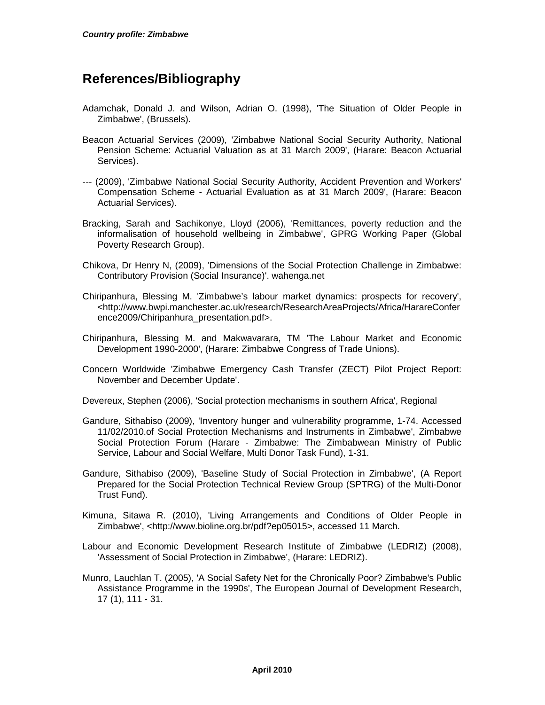# **References/Bibliography**

- Adamchak, Donald J. and Wilson, Adrian O. (1998), 'The Situation of Older People in Zimbabwe', (Brussels).
- Beacon Actuarial Services (2009), 'Zimbabwe National Social Security Authority, National Pension Scheme: Actuarial Valuation as at 31 March 2009', (Harare: Beacon Actuarial Services).
- --- (2009), 'Zimbabwe National Social Security Authority, Accident Prevention and Workers' Compensation Scheme - Actuarial Evaluation as at 31 March 2009', (Harare: Beacon Actuarial Services).
- Bracking, Sarah and Sachikonye, Lloyd (2006), 'Remittances, poverty reduction and the informalisation of household wellbeing in Zimbabwe', GPRG Working Paper (Global Poverty Research Group).
- Chikova, Dr Henry N, (2009), 'Dimensions of the Social Protection Challenge in Zimbabwe: Contributory Provision (Social Insurance)'. wahenga.net
- Chiripanhura, Blessing M. 'Zimbabwe's labour market dynamics: prospects for recovery', <http://www.bwpi.manchester.ac.uk/research/ResearchAreaProjects/Africa/HarareConfer ence2009/Chiripanhura\_presentation.pdf>.
- Chiripanhura, Blessing M. and Makwavarara, TM 'The Labour Market and Economic Development 1990-2000', (Harare: Zimbabwe Congress of Trade Unions).
- Concern Worldwide 'Zimbabwe Emergency Cash Transfer (ZECT) Pilot Project Report: November and December Update'.

Devereux, Stephen (2006), 'Social protection mechanisms in southern Africa', Regional

- Gandure, Sithabiso (2009), 'Inventory hunger and vulnerability programme, 1-74. Accessed 11/02/2010.of Social Protection Mechanisms and Instruments in Zimbabwe', Zimbabwe Social Protection Forum (Harare - Zimbabwe: The Zimbabwean Ministry of Public Service, Labour and Social Welfare, Multi Donor Task Fund), 1-31.
- Gandure, Sithabiso (2009), 'Baseline Study of Social Protection in Zimbabwe', (A Report Prepared for the Social Protection Technical Review Group (SPTRG) of the Multi-Donor Trust Fund).
- Kimuna, Sitawa R. (2010), 'Living Arrangements and Conditions of Older People in Zimbabwe', <http://www.bioline.org.br/pdf?ep05015>, accessed 11 March.
- Labour and Economic Development Research Institute of Zimbabwe (LEDRIZ) (2008), 'Assessment of Social Protection in Zimbabwe', (Harare: LEDRIZ).
- Munro, Lauchlan T. (2005), 'A Social Safety Net for the Chronically Poor? Zimbabwe's Public Assistance Programme in the 1990s', The European Journal of Development Research, 17 (1), 111 - 31.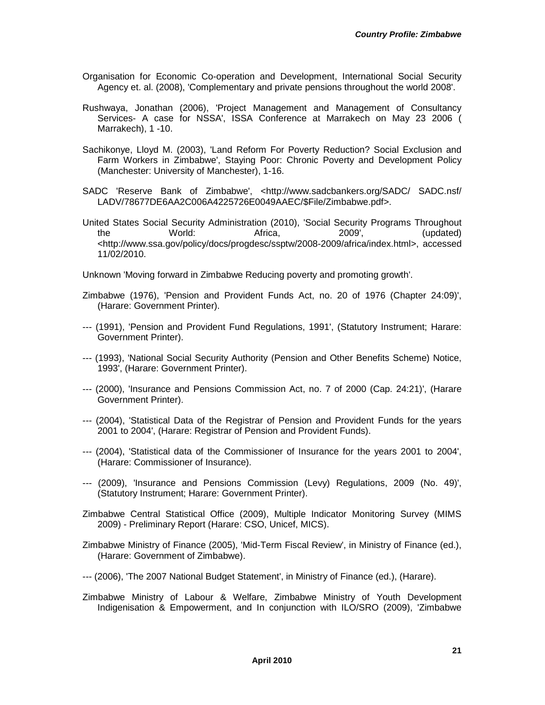- Organisation for Economic Co-operation and Development, International Social Security Agency et. al. (2008), 'Complementary and private pensions throughout the world 2008'.
- Rushwaya, Jonathan (2006), 'Project Management and Management of Consultancy Services- A case for NSSA', ISSA Conference at Marrakech on May 23 2006 ( Marrakech), 1 -10.
- Sachikonye, Lloyd M. (2003), 'Land Reform For Poverty Reduction? Social Exclusion and Farm Workers in Zimbabwe', Staying Poor: Chronic Poverty and Development Policy (Manchester: University of Manchester), 1-16.
- SADC 'Reserve Bank of Zimbabwe', <http://www.sadcbankers.org/SADC/ SADC.nsf/ LADV/78677DE6AA2C006A4225726E0049AAEC/\$File/Zimbabwe.pdf>.
- United States Social Security Administration (2010), 'Social Security Programs Throughout the World: Africa, 2009', (updated) <http://www.ssa.gov/policy/docs/progdesc/ssptw/2008-2009/africa/index.html>, accessed 11/02/2010.

Unknown 'Moving forward in Zimbabwe Reducing poverty and promoting growth'.

Zimbabwe (1976), 'Pension and Provident Funds Act, no. 20 of 1976 (Chapter 24:09)', (Harare: Government Printer).

- --- (1991), 'Pension and Provident Fund Regulations, 1991', (Statutory Instrument; Harare: Government Printer).
- --- (1993), 'National Social Security Authority (Pension and Other Benefits Scheme) Notice, 1993', (Harare: Government Printer).
- --- (2000), 'Insurance and Pensions Commission Act, no. 7 of 2000 (Cap. 24:21)', (Harare Government Printer).
- --- (2004), 'Statistical Data of the Registrar of Pension and Provident Funds for the years 2001 to 2004', (Harare: Registrar of Pension and Provident Funds).
- --- (2004), 'Statistical data of the Commissioner of Insurance for the years 2001 to 2004', (Harare: Commissioner of Insurance).
- --- (2009), 'Insurance and Pensions Commission (Levy) Regulations, 2009 (No. 49)', (Statutory Instrument; Harare: Government Printer).
- Zimbabwe Central Statistical Office (2009), Multiple Indicator Monitoring Survey (MIMS 2009) - Preliminary Report (Harare: CSO, Unicef, MICS).
- Zimbabwe Ministry of Finance (2005), 'Mid-Term Fiscal Review', in Ministry of Finance (ed.), (Harare: Government of Zimbabwe).
- --- (2006), 'The 2007 National Budget Statement', in Ministry of Finance (ed.), (Harare).
- Zimbabwe Ministry of Labour & Welfare, Zimbabwe Ministry of Youth Development Indigenisation & Empowerment, and In conjunction with ILO/SRO (2009), 'Zimbabwe